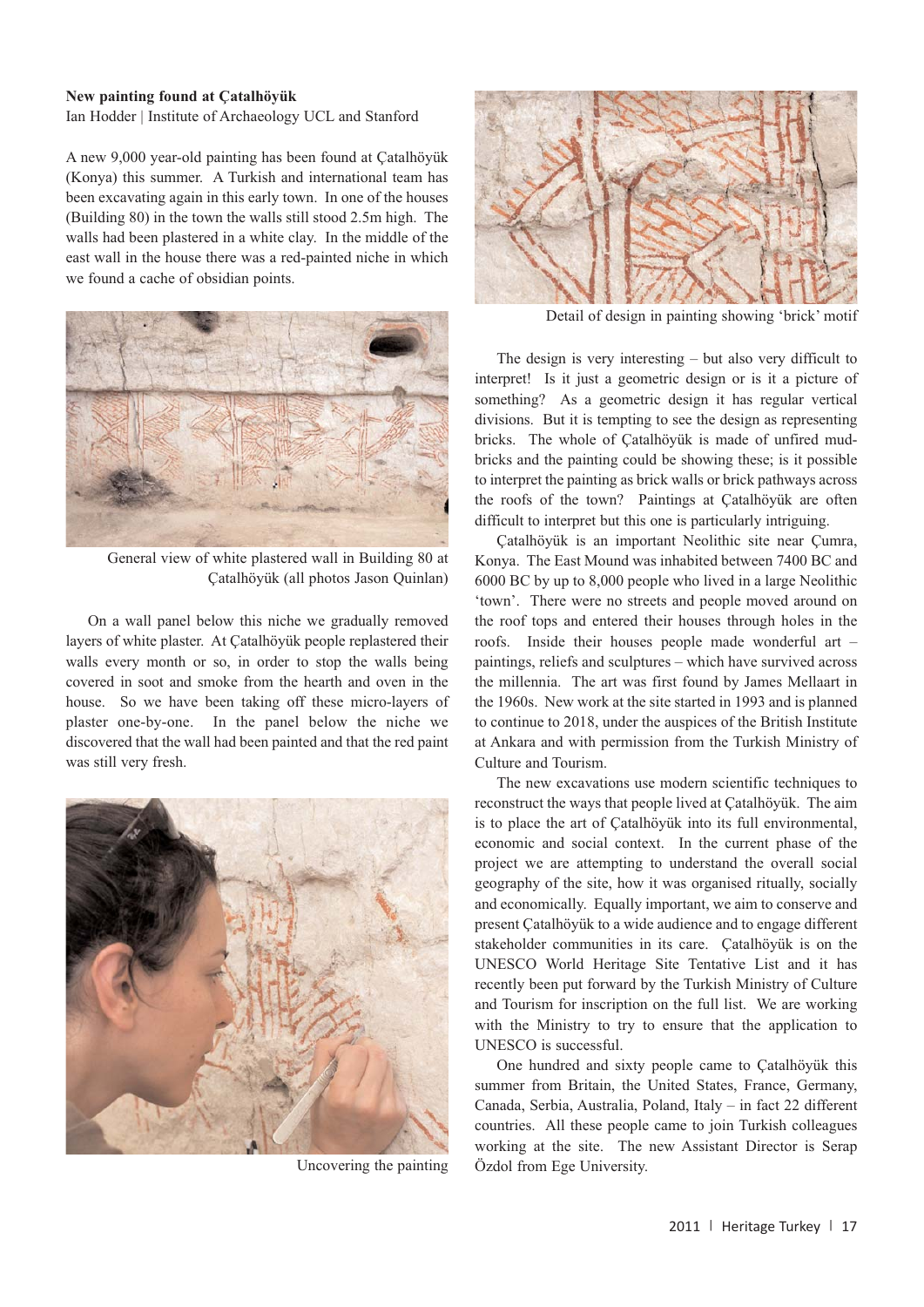Heritage Turkey volume 1 (2011) pp. 17-18 | doi:10.18866/biaa2015.012 | published online: 27 October 2015 © British Institute at Ankara

## **New painting found at Çatalhöyük**

Ian Hodder | Institute of Archaeology UCL and Stanford

A new 9,000 year-old painting has been found at Çatalhöyük (Konya) this summer. A Turkish and international team has been excavating again in this early town. In one of the houses (Building 80) in the town the walls still stood 2.5m high. The walls had been plastered in a white clay. In the middle of the east wall in the house there was a red-painted niche in which we found a cache of obsidian points.



General view of white plastered wall in Building 80 at Çatalhöyük (all photos Jason Quinlan)

On a wall panel below this niche we gradually removed layers of white plaster. At Çatalhöyük people replastered their walls every month or so, in order to stop the walls being covered in soot and smoke from the hearth and oven in the house. So we have been taking off these micro-layers of plaster one-by-one. In the panel below the niche we discovered that the wall had been painted and that the red paint was still very fresh.



Uncovering the painting



Detail of design in painting showing 'brick' motif

The design is very interesting – but also very difficult to interpret! Is it just a geometric design or is it a picture of something? As a geometric design it has regular vertical divisions. But it is tempting to see the design as representing bricks. The whole of Çatalhöyük is made of unfired mudbricks and the painting could be showing these; is it possible to interpret the painting as brick walls or brick pathways across the roofs of the town? Paintings at Çatalhöyük are often difficult to interpret but this one is particularly intriguing.

Çatalhöyük is an important Neolithic site near Çumra, Konya. The East Mound was inhabited between 7400 BC and 6000 BC by up to 8,000 people who lived in a large Neolithic 'town'. There were no streets and people moved around on the roof tops and entered their houses through holes in the roofs. Inside their houses people made wonderful art – paintings, reliefs and sculptures – which have survived across the millennia. The art was first found by James Mellaart in the 1960s. New work at the site started in 1993 and is planned to continue to 2018, under the auspices of the British Institute at Ankara and with permission from the Turkish Ministry of Culture and Tourism.

The new excavations use modern scientific techniques to reconstruct the ways that people lived at Çatalhöyük. The aim is to place the art of Çatalhöyük into its full environmental, economic and social context. In the current phase of the project we are attempting to understand the overall social geography of the site, how it was organised ritually, socially and economically. Equally important, we aim to conserve and present Çatalhöyük to a wide audience and to engage different stakeholder communities in its care. Çatalhöyük is on the UNESCO World Heritage Site Tentative List and it has recently been put forward by the Turkish Ministry of Culture and Tourism for inscription on the full list. We are working with the Ministry to try to ensure that the application to UNESCO is successful.

One hundred and sixty people came to Çatalhöyük this summer from Britain, the United States, France, Germany, Canada, Serbia, Australia, Poland, Italy – in fact 22 different countries. All these people came to join Turkish colleagues working at the site. The new Assistant Director is Serap Özdol from Ege University.